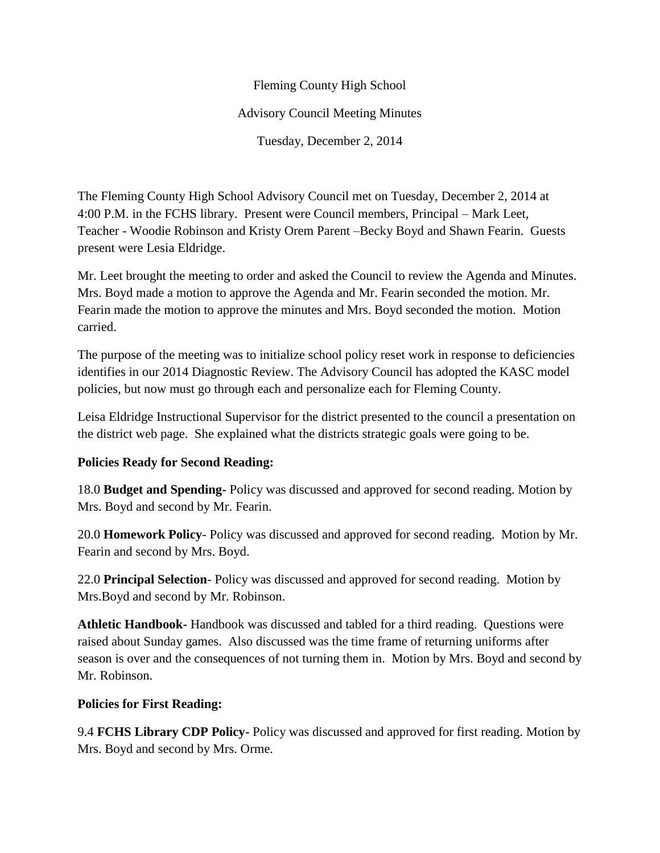Fleming County High School Advisory Council Meeting Minutes Tuesday, December 2, 2014

The Fleming County High School Advisory Council met on Tuesday, December 2, 2014 at 4:00 P.M. in the FCHS library. Present were Council members, Principal – Mark Leet, Teacher - Woodie Robinson and Kristy Orem Parent –Becky Boyd and Shawn Fearin. Guests present were Lesia Eldridge.

Mr. Leet brought the meeting to order and asked the Council to review the Agenda and Minutes. Mrs. Boyd made a motion to approve the Agenda and Mr. Fearin seconded the motion. Mr. Fearin made the motion to approve the minutes and Mrs. Boyd seconded the motion. Motion carried.

The purpose of the meeting was to initialize school policy reset work in response to deficiencies identifies in our 2014 Diagnostic Review. The Advisory Council has adopted the KASC model policies, but now must go through each and personalize each for Fleming County.

Leisa Eldridge Instructional Supervisor for the district presented to the council a presentation on the district web page. She explained what the districts strategic goals were going to be.

## **Policies Ready for Second Reading:**

18.0 **Budget and Spending-** Policy was discussed and approved for second reading. Motion by Mrs. Boyd and second by Mr. Fearin.

20.0 **Homework Policy**- Policy was discussed and approved for second reading. Motion by Mr. Fearin and second by Mrs. Boyd.

22.0 **Principal Selection**- Policy was discussed and approved for second reading. Motion by Mrs.Boyd and second by Mr. Robinson.

**Athletic Handbook-** Handbook was discussed and tabled for a third reading. Questions were raised about Sunday games. Also discussed was the time frame of returning uniforms after season is over and the consequences of not turning them in. Motion by Mrs. Boyd and second by Mr. Robinson.

## **Policies for First Reading:**

9.4 **FCHS Library CDP Policy-** Policy was discussed and approved for first reading. Motion by Mrs. Boyd and second by Mrs. Orme.